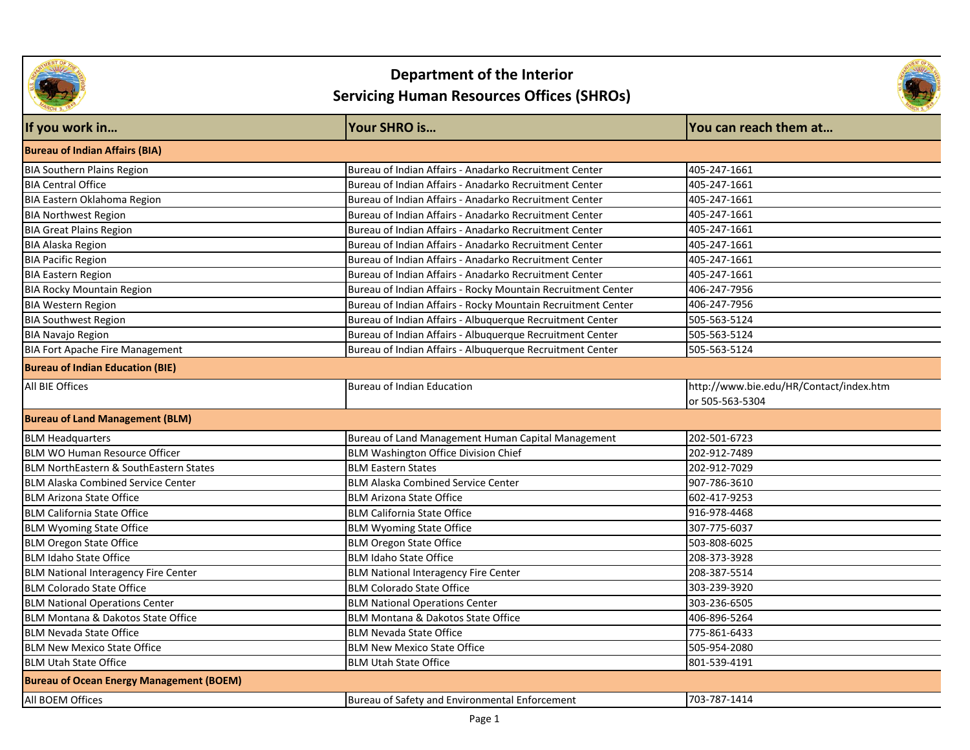

# **Department of the Interior**

# **Servicing Human Resources Offices (SHROs)**



| If you work in                                    | Your SHRO is                                                 | You can reach them at                   |
|---------------------------------------------------|--------------------------------------------------------------|-----------------------------------------|
| <b>Bureau of Indian Affairs (BIA)</b>             |                                                              |                                         |
| <b>BIA Southern Plains Region</b>                 | Bureau of Indian Affairs - Anadarko Recruitment Center       | 405-247-1661                            |
| <b>BIA Central Office</b>                         | Bureau of Indian Affairs - Anadarko Recruitment Center       | 405-247-1661                            |
| BIA Eastern Oklahoma Region                       | Bureau of Indian Affairs - Anadarko Recruitment Center       | 405-247-1661                            |
| <b>BIA Northwest Region</b>                       | Bureau of Indian Affairs - Anadarko Recruitment Center       | 405-247-1661                            |
| <b>BIA Great Plains Region</b>                    | Bureau of Indian Affairs - Anadarko Recruitment Center       | 405-247-1661                            |
| <b>BIA Alaska Region</b>                          | Bureau of Indian Affairs - Anadarko Recruitment Center       | 405-247-1661                            |
| <b>BIA Pacific Region</b>                         | Bureau of Indian Affairs - Anadarko Recruitment Center       | 405-247-1661                            |
| <b>BIA Eastern Region</b>                         | Bureau of Indian Affairs - Anadarko Recruitment Center       | 405-247-1661                            |
| <b>BIA Rocky Mountain Region</b>                  | Bureau of Indian Affairs - Rocky Mountain Recruitment Center | 406-247-7956                            |
| <b>BIA Western Region</b>                         | Bureau of Indian Affairs - Rocky Mountain Recruitment Center | 406-247-7956                            |
| <b>BIA Southwest Region</b>                       | Bureau of Indian Affairs - Albuquerque Recruitment Center    | 505-563-5124                            |
| <b>BIA Navajo Region</b>                          | Bureau of Indian Affairs - Albuquerque Recruitment Center    | 505-563-5124                            |
| <b>BIA Fort Apache Fire Management</b>            | Bureau of Indian Affairs - Albuquerque Recruitment Center    | 505-563-5124                            |
| <b>Bureau of Indian Education (BIE)</b>           |                                                              |                                         |
| All BIE Offices                                   | Bureau of Indian Education                                   | http://www.bie.edu/HR/Contact/index.htm |
|                                                   |                                                              | or 505-563-5304                         |
| <b>Bureau of Land Management (BLM)</b>            |                                                              |                                         |
| <b>BLM Headquarters</b>                           | Bureau of Land Management Human Capital Management           | 202-501-6723                            |
| <b>BLM WO Human Resource Officer</b>              | <b>BLM Washington Office Division Chief</b>                  | 202-912-7489                            |
| <b>BLM NorthEastern &amp; SouthEastern States</b> | <b>BLM Eastern States</b>                                    | 202-912-7029                            |
| <b>BLM Alaska Combined Service Center</b>         | <b>BLM Alaska Combined Service Center</b>                    | 907-786-3610                            |
| <b>BLM Arizona State Office</b>                   | <b>BLM Arizona State Office</b>                              | 602-417-9253                            |
| <b>BLM California State Office</b>                | <b>BLM California State Office</b>                           | 916-978-4468                            |
| <b>BLM Wyoming State Office</b>                   | <b>BLM Wyoming State Office</b>                              | 307-775-6037                            |
| <b>BLM Oregon State Office</b>                    | <b>BLM Oregon State Office</b>                               | 503-808-6025                            |
| <b>BLM Idaho State Office</b>                     | <b>BLM Idaho State Office</b>                                | 208-373-3928                            |
| <b>BLM National Interagency Fire Center</b>       | <b>BLM National Interagency Fire Center</b>                  | 208-387-5514                            |
| <b>BLM Colorado State Office</b>                  | <b>BLM Colorado State Office</b>                             | 303-239-3920                            |
| <b>BLM National Operations Center</b>             | <b>BLM National Operations Center</b>                        | 303-236-6505                            |
| BLM Montana & Dakotos State Office                | BLM Montana & Dakotos State Office                           | 406-896-5264                            |
| <b>BLM Nevada State Office</b>                    | <b>BLM Nevada State Office</b>                               | 775-861-6433                            |
| <b>BLM New Mexico State Office</b>                | <b>BLM New Mexico State Office</b>                           | 505-954-2080                            |
| <b>BLM Utah State Office</b>                      | <b>BLM Utah State Office</b>                                 | 801-539-4191                            |
| <b>Bureau of Ocean Energy Management (BOEM)</b>   |                                                              |                                         |
| All BOEM Offices                                  | Bureau of Safety and Environmental Enforcement               | 703-787-1414                            |
|                                                   |                                                              |                                         |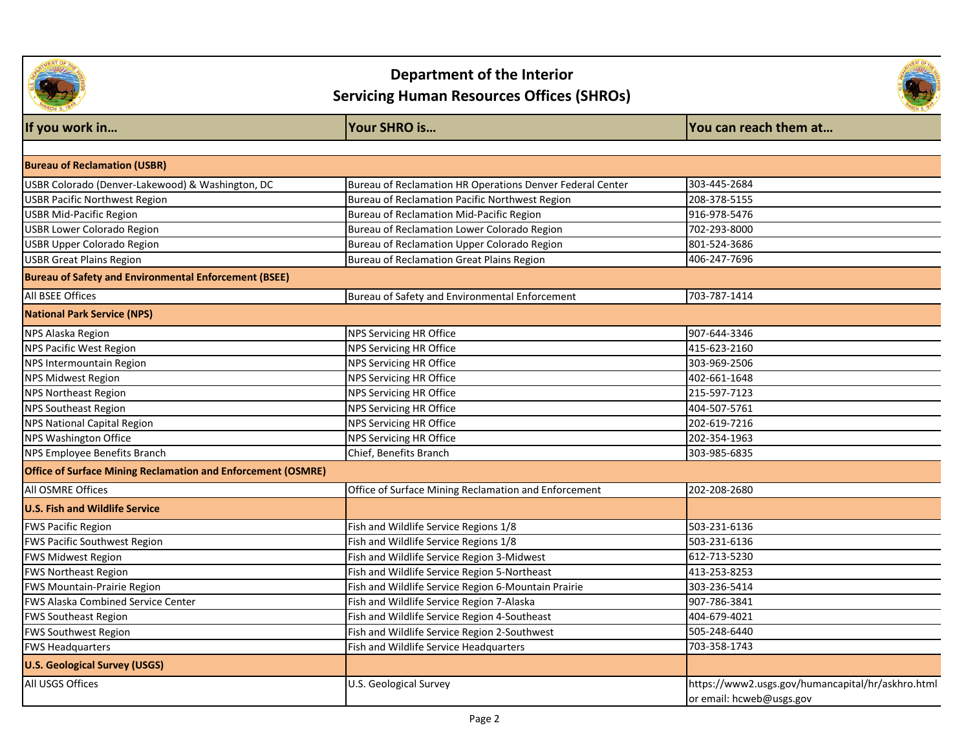

**Department of the Interior** 

### **Servicing Human Resources Offices (SHROs)**



| If you work in                                                      | Your SHRO is                                              | You can reach them at                                                         |
|---------------------------------------------------------------------|-----------------------------------------------------------|-------------------------------------------------------------------------------|
|                                                                     |                                                           |                                                                               |
| <b>Bureau of Reclamation (USBR)</b>                                 |                                                           |                                                                               |
| USBR Colorado (Denver-Lakewood) & Washington, DC                    | Bureau of Reclamation HR Operations Denver Federal Center | 303-445-2684                                                                  |
| <b>USBR Pacific Northwest Region</b>                                | Bureau of Reclamation Pacific Northwest Region            | 208-378-5155                                                                  |
| <b>USBR Mid-Pacific Region</b>                                      | <b>Bureau of Reclamation Mid-Pacific Region</b>           | 916-978-5476                                                                  |
| USBR Lower Colorado Region                                          | Bureau of Reclamation Lower Colorado Region               | 702-293-8000                                                                  |
| <b>USBR Upper Colorado Region</b>                                   | Bureau of Reclamation Upper Colorado Region               | 801-524-3686                                                                  |
| <b>USBR Great Plains Region</b>                                     | Bureau of Reclamation Great Plains Region                 | 406-247-7696                                                                  |
| <b>Bureau of Safety and Environmental Enforcement (BSEE)</b>        |                                                           |                                                                               |
| All BSEE Offices                                                    | Bureau of Safety and Environmental Enforcement            | 703-787-1414                                                                  |
| <b>National Park Service (NPS)</b>                                  |                                                           |                                                                               |
| NPS Alaska Region                                                   | <b>NPS Servicing HR Office</b>                            | 907-644-3346                                                                  |
| <b>NPS Pacific West Region</b>                                      | NPS Servicing HR Office                                   | 415-623-2160                                                                  |
| NPS Intermountain Region                                            | NPS Servicing HR Office                                   | 303-969-2506                                                                  |
| <b>NPS Midwest Region</b>                                           | NPS Servicing HR Office                                   | 402-661-1648                                                                  |
| <b>NPS Northeast Region</b>                                         | <b>NPS Servicing HR Office</b>                            | 215-597-7123                                                                  |
| <b>NPS Southeast Region</b>                                         | <b>NPS Servicing HR Office</b>                            | 404-507-5761                                                                  |
| <b>NPS National Capital Region</b>                                  | NPS Servicing HR Office                                   | 202-619-7216                                                                  |
| NPS Washington Office                                               | <b>NPS Servicing HR Office</b>                            | 202-354-1963                                                                  |
| <b>NPS Employee Benefits Branch</b>                                 | Chief, Benefits Branch                                    | 303-985-6835                                                                  |
| <b>Office of Surface Mining Reclamation and Enforcement (OSMRE)</b> |                                                           |                                                                               |
| All OSMRE Offices                                                   | Office of Surface Mining Reclamation and Enforcement      | 202-208-2680                                                                  |
| <b>U.S. Fish and Wildlife Service</b>                               |                                                           |                                                                               |
| <b>FWS Pacific Region</b>                                           | Fish and Wildlife Service Regions 1/8                     | 503-231-6136                                                                  |
| FWS Pacific Southwest Region                                        | Fish and Wildlife Service Regions 1/8                     | 503-231-6136                                                                  |
| <b>FWS Midwest Region</b>                                           | Fish and Wildlife Service Region 3-Midwest                | 612-713-5230                                                                  |
| <b>FWS Northeast Region</b>                                         | Fish and Wildlife Service Region 5-Northeast              | 413-253-8253                                                                  |
| <b>FWS Mountain-Prairie Region</b>                                  | Fish and Wildlife Service Region 6-Mountain Prairie       | 303-236-5414                                                                  |
| <b>FWS Alaska Combined Service Center</b>                           | Fish and Wildlife Service Region 7-Alaska                 | 907-786-3841                                                                  |
| <b>FWS Southeast Region</b>                                         | Fish and Wildlife Service Region 4-Southeast              | 404-679-4021                                                                  |
| <b>FWS Southwest Region</b>                                         | Fish and Wildlife Service Region 2-Southwest              | 505-248-6440                                                                  |
| <b>FWS Headquarters</b>                                             | Fish and Wildlife Service Headquarters                    | 703-358-1743                                                                  |
| <b>U.S. Geological Survey (USGS)</b>                                |                                                           |                                                                               |
| All USGS Offices                                                    | U.S. Geological Survey                                    | https://www2.usgs.gov/humancapital/hr/askhro.html<br>or email: hcweb@usgs.gov |